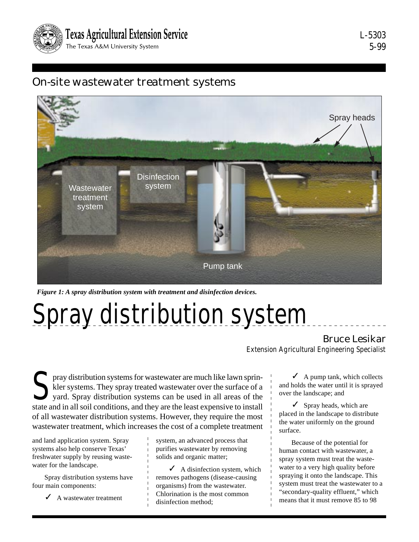

L-5303 5-99

# On-site wastewater treatment systems



*Figure 1: A spray distribution system with treatment and disinfection devices.*

# Spray distribution system

### Bruce Lesikar

Extension Agricultural Engineering Specialist

pray distribution systems for wastewater are much like lawn sprin-<br>kler systems. They spray treated wastewater over the surface of a<br>yard. Spray distribution systems can be used in all areas of the<br>state and in all soil co kler systems. They spray treated wastewater over the surface of a yard. Spray distribution systems can be used in all areas of the state and in all soil conditions, and they are the least expensive to install of all wastewater distribution systems. However, they require the most wastewater treatment, which increases the cost of a complete treatment

and land application system. Spray systems also help conserve Texas' freshwater supply by reusing wastewater for the landscape.

Spray distribution systems have four main components:

 $\angle$  A wastewater treatment

system, an advanced process that purifies wastewater by removing solids and organic matter;

 $\blacktriangleright$  A disinfection system, which removes pathogens (disease-causing organisms) from the wastewater. Chlorination is the most common disinfection method;

 $\angle$  A pump tank, which collects and holds the water until it is sprayed over the landscape; and

 $\checkmark$  Spray heads, which are placed in the landscape to distribute the water uniformly on the ground surface.

Because of the potential for human contact with wastewater, a spray system must treat the wastewater to a very high quality before spraying it onto the landscape. This system must treat the wastewater to a "secondary-quality effluent," which means that it must remove 85 to 98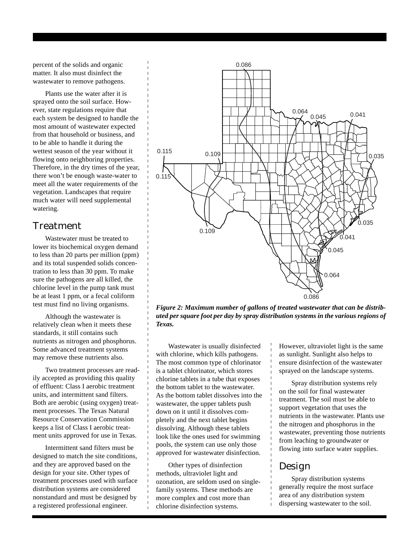percent of the solids and organic matter. It also must disinfect the wastewater to remove pathogens.

Plants use the water after it is sprayed onto the soil surface. However, state regulations require that each system be designed to handle the most amount of wastewater expected from that household or business, and to be able to handle it during the wettest season of the year without it flowing onto neighboring properties. Therefore, in the dry times of the year, there won't be enough waste-water to meet all the water requirements of the vegetation. Landscapes that require much water will need supplemental watering.

#### Treatment

Wastewater must be treated to lower its biochemical oxygen demand to less than 20 parts per million (ppm) and its total suspended solids concentration to less than 30 ppm. To make sure the pathogens are all killed, the chlorine level in the pump tank must be at least 1 ppm, or a fecal coliform test must find no living organisms.

Although the wastewater is relatively clean when it meets these standards, it still contains such nutrients as nitrogen and phosphorus. Some advanced treatment systems may remove these nutrients also.

Two treatment processes are readily accepted as providing this quality of effluent: Class I aerobic treatment units, and intermittent sand filters. Both are aerobic (using oxygen) treatment processes. The Texas Natural Resource Conservation Commission keeps a list of Class I aerobic treatment units approved for use in Texas.

Intermittent sand filters must be designed to match the site conditions, and they are approved based on the design for your site. Other types of treatment processes used with surface distribution systems are considered nonstandard and must be designed by a registered professional engineer.



*Figure 2: Maximum number of gallons of treated wastewater that can be distributed per square foot per day by spray distribution systems in the various regions of Texas.*

Wastewater is usually disinfected with chlorine, which kills pathogens. The most common type of chlorinator is a tablet chlorinator, which stores chlorine tablets in a tube that exposes the bottom tablet to the wastewater. As the bottom tablet dissolves into the wastewater, the upper tablets push down on it until it dissolves completely and the next tablet begins dissolving. Although these tablets look like the ones used for swimming pools, the system can use only those approved for wastewater disinfection.

Other types of disinfection methods, ultraviolet light and ozonation, are seldom used on singlefamily systems. These methods are more complex and cost more than chlorine disinfection systems.

However, ultraviolet light is the same as sunlight. Sunlight also helps to ensure disinfection of the wastewater sprayed on the landscape systems.

Spray distribution systems rely on the soil for final wastewater treatment. The soil must be able to support vegetation that uses the nutrients in the wastewater. Plants use the nitrogen and phosphorus in the wastewater, preventing those nutrients from leaching to groundwater or flowing into surface water supplies.

## Design

Spray distribution systems generally require the most surface area of any distribution system dispersing wastewater to the soil.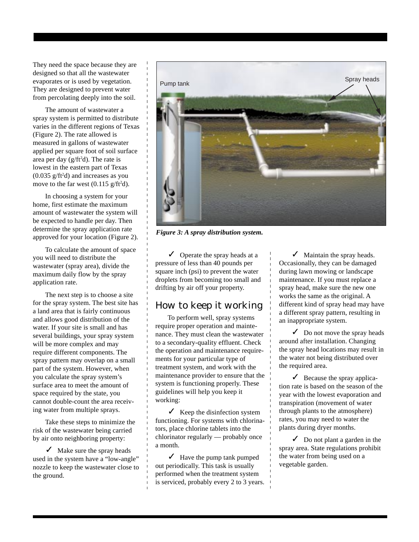They need the space because they are designed so that all the wastewater evaporates or is used by vegetation. They are designed to prevent water from percolating deeply into the soil.

The amount of wastewater a spray system is permitted to distribute varies in the different regions of Texas (Figure 2). The rate allowed is measured in gallons of wastewater applied per square foot of soil surface area per day (g/ft<sup>2</sup>d). The rate is lowest in the eastern part of Texas  $(0.035 \text{ g/ft}^2d)$  and increases as you move to the far west  $(0.115 \text{ g/ft}^2d)$ .

In choosing a system for your home, first estimate the maximum amount of wastewater the system will be expected to handle per day. Then determine the spray application rate approved for your location (Figure 2).

To calculate the amount of space you will need to distribute the wastewater (spray area), divide the maximum daily flow by the spray application rate.

The next step is to choose a site for the spray system. The best site has a land area that is fairly continuous and allows good distribution of the water. If your site is small and has several buildings, your spray system will be more complex and may require different components. The spray pattern may overlap on a small part of the system. However, when you calculate the spray system's surface area to meet the amount of space required by the state, you cannot double-count the area receiving water from multiple sprays.

Take these steps to minimize the risk of the wastewater being carried by air onto neighboring property:

 $\checkmark$  Make sure the spray heads used in the system have a "low-angle" nozzle to keep the wastewater close to the ground.



*Figure 3: A spray distribution system.*

 $\sqrt{\phantom{a}}$  Operate the spray heads at a pressure of less than 40 pounds per square inch (psi) to prevent the water droplets from becoming too small and drifting by air off your property.

## How to keep it working

To perform well, spray systems require proper operation and maintenance. They must clean the wastewater to a secondary-quality effluent. Check the operation and maintenance requirements for your particular type of treatment system, and work with the maintenance provider to ensure that the system is functioning properly. These guidelines will help you keep it working:

 $\checkmark$  Keep the disinfection system functioning. For systems with chlorinators, place chlorine tablets into the chlorinator regularly — probably once a month.

 $\checkmark$  Have the pump tank pumped out periodically. This task is usually performed when the treatment system is serviced, probably every 2 to 3 years.

 $\sqrt{\phantom{a}}$  Maintain the spray heads. Occasionally, they can be damaged during lawn mowing or landscape maintenance. If you must replace a spray head, make sure the new one works the same as the original. A different kind of spray head may have a different spray pattern, resulting in an inappropriate system.

 $\sqrt{\phantom{a}}$  Do not move the spray heads around after installation. Changing the spray head locations may result in the water not being distributed over the required area.

 $\angle$  Because the spray application rate is based on the season of the year with the lowest evaporation and transpiration (movement of water through plants to the atmosphere) rates, you may need to water the plants during dryer months.

 $\triangleright$  Do not plant a garden in the spray area. State regulations prohibit the water from being used on a vegetable garden.